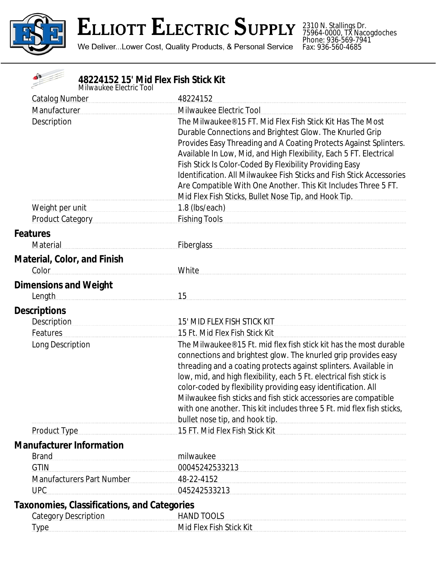

2310 N. Stallings Dr. 75964-0000, TX Nacogdoches Phone: 936-569-7941 Fax: 936-560-4685

| 48224152 15' Mid Flex Fish Stick Kit<br>Milwaukee Electric Tool |                                                                                                                                                                                                                                                                                                                                                                                                                                                                                                                                       |
|-----------------------------------------------------------------|---------------------------------------------------------------------------------------------------------------------------------------------------------------------------------------------------------------------------------------------------------------------------------------------------------------------------------------------------------------------------------------------------------------------------------------------------------------------------------------------------------------------------------------|
| <b>Catalog Number</b>                                           | 48224152                                                                                                                                                                                                                                                                                                                                                                                                                                                                                                                              |
| Manufacturer                                                    | Milwaukee Electric Tool                                                                                                                                                                                                                                                                                                                                                                                                                                                                                                               |
| Description                                                     | The Milwaukee® 15 FT. Mid Flex Fish Stick Kit Has The Most<br>Durable Connections and Brightest Glow. The Knurled Grip<br>Provides Easy Threading and A Coating Protects Against Splinters.<br>Available In Low, Mid, and High Flexibility, Each 5 FT. Electrical<br>Fish Stick Is Color-Coded By Flexibility Providing Easy<br><b>Identification. All Milwaukee Fish Sticks and Fish Stick Accessories</b><br>Are Compatible With One Another. This Kit Includes Three 5 FT.<br>Mid Flex Fish Sticks, Bullet Nose Tip, and Hook Tip. |
| Weight per unit                                                 | 1.8 (lbs/each)                                                                                                                                                                                                                                                                                                                                                                                                                                                                                                                        |
| Product Category                                                | Fishing Tools <b>Example 2018</b>                                                                                                                                                                                                                                                                                                                                                                                                                                                                                                     |
| <b>Features</b><br>Material                                     | <b>Fiberglass</b>                                                                                                                                                                                                                                                                                                                                                                                                                                                                                                                     |
| <b>Material, Color, and Finish</b><br>Color                     | White                                                                                                                                                                                                                                                                                                                                                                                                                                                                                                                                 |
| <b>Dimensions and Weight</b>                                    |                                                                                                                                                                                                                                                                                                                                                                                                                                                                                                                                       |
| Length                                                          | 15                                                                                                                                                                                                                                                                                                                                                                                                                                                                                                                                    |
| <b>Descriptions</b>                                             |                                                                                                                                                                                                                                                                                                                                                                                                                                                                                                                                       |
| Description                                                     | 15' MID FLEX FISH STICK KIT                                                                                                                                                                                                                                                                                                                                                                                                                                                                                                           |
| Features                                                        | 15 Ft. Mid Flex Fish Stick Kit                                                                                                                                                                                                                                                                                                                                                                                                                                                                                                        |
| Long Description                                                | The Milwaukee® 15 Ft. mid flex fish stick kit has the most durable                                                                                                                                                                                                                                                                                                                                                                                                                                                                    |
|                                                                 | connections and brightest glow. The knurled grip provides easy<br>threading and a coating protects against splinters. Available in<br>low, mid, and high flexibility, each 5 Ft. electrical fish stick is<br>color-coded by flexibility providing easy identification. All<br>Milwaukee fish sticks and fish stick accessories are compatible<br>with one another. This kit includes three 5 Ft. mid flex fish sticks,<br>bullet nose tip, and hook tip. <b>Example 20</b> is a substitute that the bullet nose tip, and hook tip.    |
| <b>Product Type</b>                                             | 15 FT. Mid Flex Fish Stick Kit                                                                                                                                                                                                                                                                                                                                                                                                                                                                                                        |
| <b>Manufacturer Information</b>                                 |                                                                                                                                                                                                                                                                                                                                                                                                                                                                                                                                       |
| <b>Brand</b>                                                    | milwaukee                                                                                                                                                                                                                                                                                                                                                                                                                                                                                                                             |
| <b>GTIN</b>                                                     | 00045242533213                                                                                                                                                                                                                                                                                                                                                                                                                                                                                                                        |
| <b>Manufacturers Part Number</b>                                | 48-22-4152                                                                                                                                                                                                                                                                                                                                                                                                                                                                                                                            |
| <b>UPC</b>                                                      | 045242533213                                                                                                                                                                                                                                                                                                                                                                                                                                                                                                                          |
| <b>Taxonomies, Classifications, and Categories</b>              |                                                                                                                                                                                                                                                                                                                                                                                                                                                                                                                                       |
| <b>Category Description</b>                                     | HAND TOOLS                                                                                                                                                                                                                                                                                                                                                                                                                                                                                                                            |
| <b>Type</b>                                                     | Mid Flex Fish Stick Kit                                                                                                                                                                                                                                                                                                                                                                                                                                                                                                               |